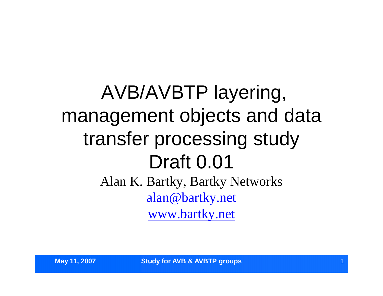## AVB/AVBTP layering, management objects and data transfer processing study Draft 0.01 Alan K. Bartky, Bartky Networks alan@bartky.net www.bartky.net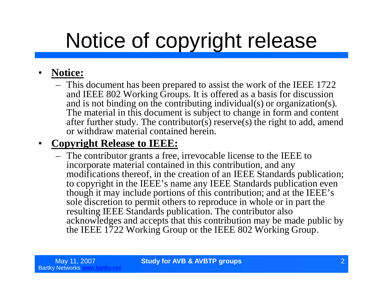# Notice of copyright release

### • **Notice:**

– This document has been prepared to assist the work of the IEEE 1722 and IEEE 802 Working Groups. It is offered as a basis for discussion and is not binding on the contributing individual(s) or organization(s). The material in this document is subject to change in form and content after further study. The contributor(s) reserve(s) the right to add, amend or withdraw material contained herein.

### • **Copyright Release to IEEE:**

– The contributor grants a free, irrevocable license to the IEEE to incorporate material contained in this contribution, and any modifications thereof, in the creation of an IEEE Standards publication; to copyright in the IEEE's name any IEEE Standards publication even though it may include portions of this contribution; and at the IEEE's sole discretion to permit others to reproduce in whole or in part the resulting IEEE Standards publication. The contributor also acknowledges and accepts that this contribution may be made public by the IEEE 1722 Working Group or the IEEE 802 Working Group.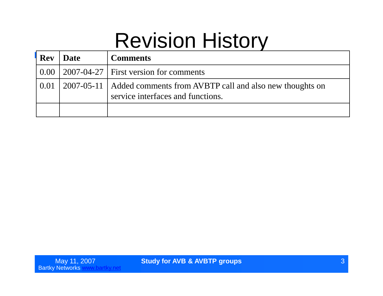## Revision History

| <b>Rev</b> | <b>Date</b> | <b>Comments</b>                                                                                           |
|------------|-------------|-----------------------------------------------------------------------------------------------------------|
|            |             | $\vert 0.00 \vert 2007 - 04 - 27 \vert$ First version for comments                                        |
| 0.01       |             | 2007-05-11   Added comments from AVBTP call and also new thoughts on<br>service interfaces and functions. |
|            |             |                                                                                                           |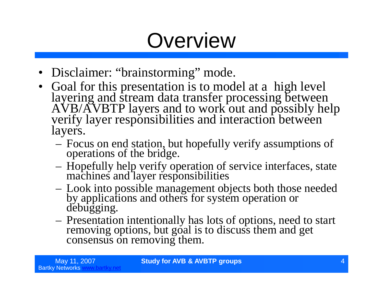## **Overview**

- Disclaimer: "brainstorming" mode.
- Goal for this presentation is to model at a high level layering and stream data transfer processing between AVB/AVBTP layers and to work out and possibly help verify layer responsibilities and interaction between layers.
	- Focus on end station, but hopefully verify assumptions of operations of the bridge.
	- Hopefully help verify operation of service interfaces, state machines and layer responsibilities
	- Look into possible management objects both those needed by applications and others for system operation or debugging.
	- Presentation intentionally has lots of options, need to start removing options, but goal is to discuss them and get consensus on removing them.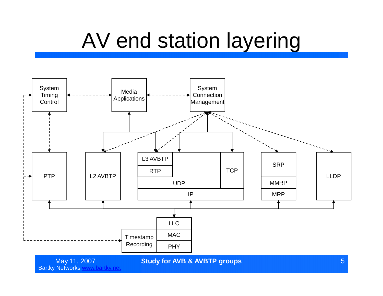## AV end station layering



Bartky Networks www.bartky.net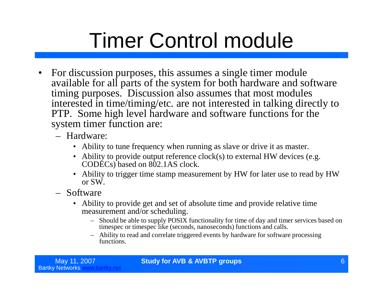# Timer Control module

- For discussion purposes, this assumes a single timer module available for all parts of the system for both hardware and software timing purposes. Discussion also assumes that most modules interested in time/timing/etc. are not interested in talking directly to PTP. Some high level hardware and software functions for the system timer function are:
	- Hardware:
		- Ability to tune frequency when running as slave or drive it as master.
		- Ability to provide output reference clock(s) to external HW devices (e.g. CODECs) based on 802.1AS clock.
		- Ability to trigger time stamp measurement by HW for later use to read by HW or SW.
	- Software
		- Ability to provide get and set of absolute time and provide relative time measurement and/or scheduling.
			- Should be able to supply POSIX functionality for time of day and timer services based on timespec or timespec like (seconds, nanoseconds) functions and calls.
			- Ability to read and correlate triggered events by hardware for software processing functions.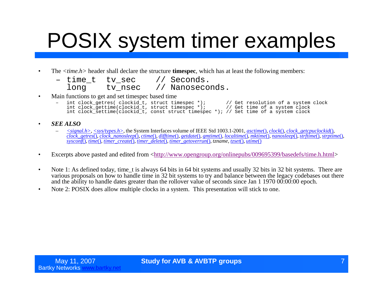## POSIX system timer examples

- The  $\langle$ *time.h*> header shall declare the structure **timespec**, which has at least the following members:
	- time\_t tv\_sec // Seconds.<br>long tv nsec // Nanoseco long tv\_nsec // Nanoseconds.
- Main functions to get and set timespec based time
	- int clock\_getres( clockid\_t, struct timespec \*); // Get resolution of a system clock int clock\_gettime(clockid\_t, struct timespec \*); // Get time of a system clock int clock\_settime(clockid\_t, const struct timespec \*); // Set time of a system clock
- *SEE ALSO*
	- *<signal.h>*, *<sys/types.h>*, the System Interfaces volume of IEEE Std 1003.1-2001, *asctime*(), *clock*(), *clock\_getcpuclockid*(), *clock\_getres*(), *clock\_nanosleep*(), *ctime*(), *difftime*(), *getdate*(), *gmtime*(), *localtime*(), *mktime*(), *nanosleep*(), *strftime*(), *strptime*(), *sysconf*(), *time*(), *timer\_create*(), *timer\_delete*(), *timer\_getoverrun*(), *tzname*, *tzset*(), *utime*()
- Excerpts above pasted and edited from <http://www.opengroup.org/onlinepubs/009695399/basedefs/time.h.html>
- Note 1: As defined today, time t is always 64 bits in 64 bit systems and usually 32 bits in 32 bit systems. There are various proposals on how to handle time in 32 bit systems to try and balance between the legacy codebases out there and the ability to handle dates greater than the rollover value of seconds since Jan 1 1970 00:00:00 epoch.
- Note 2: POSIX does allow multiple clocks in a system. This presentation will stick to one.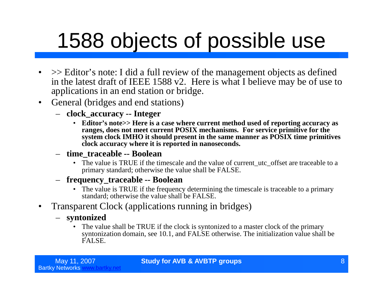## 1588 objects of possible use

- $\gg$  Editor's note: I did a full review of the management objects as defined in the latest draft of IEEE 1588 v2. Here is what I believe may be of use to applications in an end station or bridge.
- General (bridges and end stations)
	- **clock\_accuracy -- Integer**
		- **Editor's note>> Here is a case where current method used of reporting accuracy as ranges, does not meet current POSIX mechanisms. For service primitive for the system clock IMHO it should present in the same manner as POSIX time primitives clock accuracy where it is reported in nanoseconds.**
	- **time\_traceable -- Boolean**
		- The value is TRUE if the timescale and the value of current utc offset are traceable to a primary standard; otherwise the value shall be FALSE.
	- **frequency\_traceable -- Boolean**
		- The value is TRUE if the frequency determining the timescale is traceable to a primary standard; otherwise the value shall be FALSE.
- Transparent Clock (applications running in bridges)
	- **syntonized**
		- The value shall be TRUE if the clock is syntonized to a master clock of the primary syntonization domain, see 10.1, and FALSE otherwise. The initialization value shall be FALSE.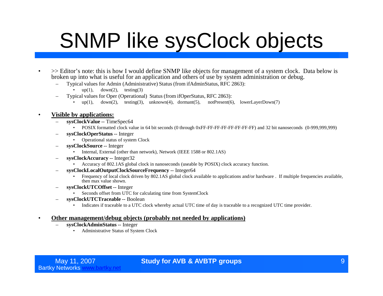## SNMP like sysClock objects

- >> Editor's note: this is how I would define SNMP like objects for management of a system clock. Data below is broken up into what is useful for an application and others of use by system administration or debug.
	- Typical values for Admin (Administrative) Status (from ifAdminStatus, RFC 2863):
		- up(1),  $down(2)$ , testing(3)
	- Typical values for Oper (Operational) Status (from ifOperStatus, RFC 2863):
		- $up(1)$ ,  $down(2)$ , testing(3), unknown(4), dormant(5), notPresent(6), lowerLayerDown(7)

#### • **Visible by applications:**

- **sysClockValue** -- TimeSpec64
	- POSIX formatted clock value in 64 bit seconds (0 through 0xFF-FF-FF-FF-FF-FF-FF-FF) and 32 bit nanoseconds (0-999,999,999)
- **sysClockOperStatus** -- Integer
	- Operational status of system Clock
- **sysClockSource** -- Integer
	- Internal, External (other than network), Network (IEEE 1588 or 802.1AS)
- **sysClockAccuracy** -- Integer32
	- Accuracy of 802.1AS global clock in nanoseconds (useable by POSIX) clock accuracy function.
- **sysClockLocalOutputClockSourceFrequency** -- Integer64
	- Frequency of local clock driven by 802.1AS global clock available to applications and/or hardware . If multiple frequencies available, then max value shown.
- **sysClockUTCOffset** -- Integer
	- Seconds offset from UTC for calculating time from SystemClock
- **sysClockUTCTraceable** -- Boolean
	- Indicates if traceable to a UTC clock whereby actual UTC time of day is traceable to a recognized UTC time provider.

#### • **Other management/debug objects (probably not needed by applications)**

- **sysClockAdminStatus** -- Integer
	- Administrative Status of System Clock

### May 11, 2007 **Study for AVB & AVBTP groups Subdivident Contract Contract Contract Contract Contract Contract Contract Contract Contract Contract Contract Contract Contract Contract Contract Contract Contract Contract Con**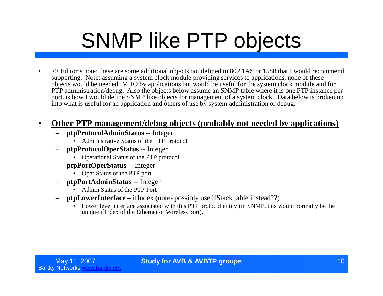# SNMP like PTP objects

• >> Editor's note: these are some additional objects not defined in 802.1AS or 1588 that I would recommend supporting. Note: assuming a system clock module providing services to applications, none of these objects would be needed IMHO by applications but would be useful for the system clock module and for PTP administration/debug. Also the objects below assume an SNMP table where it is one PTP instance per port. is how I would define SNMP like objects for management of a system clock. Data below is broken up into what is useful for an application and others of use by system administration or debug.

### • **Other PTP management/debug objects (probably not needed by applications)**

- **ptpProtocolAdminStatus** -- Integer
	- Administrative Status of the PTP protocol
- **ptpProtocolOperStatus** -- Integer
	- Operational Status of the PTP protocol
- **ptpPortOperStatus** -- Integer
	- Oper Status of the PTP port
- **ptpPortAdminStatus** -- Integer
	- Admin Status of the PTP Port
- **ptpLowerInterface** –ifIndex (note- possibly use ifStack table instead??)
	- Lower level interface associated with this PTP protocol entity (in SNMP, this would normally be the unique ifIndex of the Ethernet or Wireless port).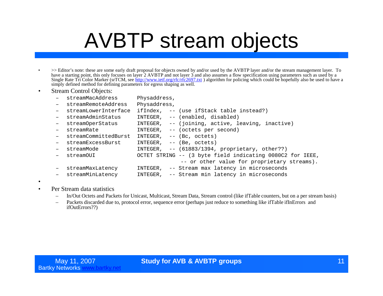## AVBTP stream objects

- >> Editor's note: these are some early draft proposal for objects owned by and/or used by the AVBTP layer and/or the stream management layer. To have a starting point, this only focuses on layer 2 AVBTP and not layer 3 and also assumes a flow specification using parameters such as used by a Single Rate Tri Color Marker (srTCM, see http://www.ietf.org/rfc/rfc2697.txt ) algorithm for policing which could be hopefully also be used to have a simply defined method for defining parameters for egress shaping as well.
- Stream Control Objects:

|     | streamMacAddress     | Physaddress, |                                                           |
|-----|----------------------|--------------|-----------------------------------------------------------|
|     | streamRemoteAddress  | Physaddress, |                                                           |
|     | streamLowerInterface |              | ifIndex, -- (use ifStack table instead?)                  |
| $-$ | streamAdminStatus    | INTEGER,     | -- (enabled, disabled)                                    |
| $-$ | streamOperStatus     |              | INTEGER, -- (joining, active, leaving, inactive)          |
| $-$ | streamRate           |              | INTEGER, -- (octets per second)                           |
|     | streamCommittedBurst |              | INTEGER, $--$ (Bc, octets)                                |
|     | streamExcessBurst    | INTEGER,     | -- (Be, octets)                                           |
|     | streamMode           |              | INTEGER, $--$ (61883/1394, proprietary, other??)          |
|     | streamOUI            |              | OCTET STRING -- (3 byte field indicating 0080C2 for IEEE, |
|     |                      |              | -- or other value for proprietary streams).               |
|     | streamMaxLatency     | INTEGER,     | -- Stream max latency in microseconds                     |
| $-$ | streamMinLatency     | INTEGER,     | -- Stream min latency in microseconds                     |

- •
- Per Stream data statistics
	- In/Out Octets and Packets for Unicast, Multicast, Stream Data, Stream control (like ifTable counters, but on a per stream basis)
	- Packets discarded due to, protocol error, sequence error (perhaps just reduce to something like ifTable ifInErrors and ifOutErrors??)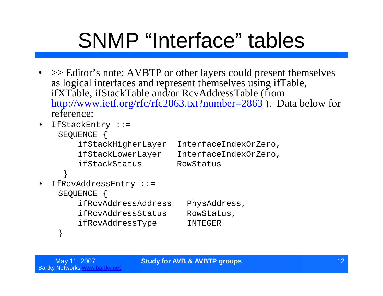# SNMP "Interface" tables

- >> Editor's note: AVBTP or other layers could present themselves as logical interfaces and represent themselves using ifTable, ifXTable, ifStackTable and/or RcvAddressTable (from http://www.ietf.org/rfc/rfc2863.txt?number=2863 ). Data below for reference:
- IfStackEntry ::= SEQUENCE { ifStackHigherLayer InterfaceIndexOrZero, ifStackLowerLayer InterfaceIndexOrZero, ifStackStatus RowStatus } • IfRcvAddressEntry ::= SEOUENCE { ifRcvAddressAddress PhysAddress, ifRcvAddressStatus RowStatus,
	- ifRcvAddressType INTEGER

}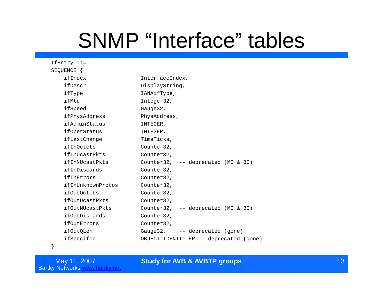## SNMP "Interface" tables

| $If Entry :: =$    |                                        |
|--------------------|----------------------------------------|
| SEQUENCE {         |                                        |
| ifIndex            | InterfaceIndex,                        |
| ifDescr            | DisplayString,                         |
| ifType             | IANAifType,                            |
| ifMtu              | Integer32,                             |
| ifSpeed            | Gauge $32l$                            |
| ifPhysAddress      | PhysAddress,                           |
| ifAdminStatus      | INTEGER,                               |
| ifOperStatus       | INTEGER,                               |
| ifLastChange       | TimeTicks,                             |
| ifInOctets         | Counter32,                             |
| ifInUcastPkts      | Counter32,                             |
| ifInNUcastPkts     | Counter32, -- deprecated (MC & BC)     |
| ifInDiscards       | Counter32,                             |
| ifInErrors         | Counter32,                             |
| ifInUnknownProtos  | Counter32,                             |
| <i>ifOutOctets</i> | Counter32,                             |
| ifOutUcastPkts     | Counter32,                             |
| ifOutNUcastPkts    | Counter32, -- deprecated (MC & BC)     |
| ifOutDiscards      | Counter32,                             |
| <i>ifOutErrors</i> | Counter32,                             |
| ifOutQLen          | Gauge 32, -- deprecated (gone)         |
| ifSpecific         | OBJECT IDENTIFIER -- deprecated (gone) |
|                    |                                        |

}

May 11, 2007<br>Bartky Networks www.bartky.net

### **Study for AVB & AVBTP groups** 13, 2007 **Study for AVB & AVBTP groups** 2007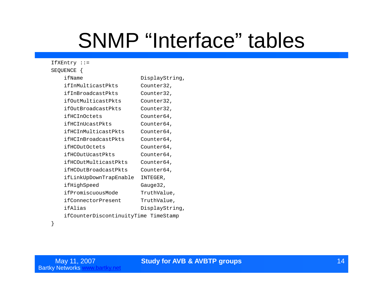## SNMP "Interface" tables

| IfXEntry ::=                         |                |
|--------------------------------------|----------------|
| SEQUENCE {                           |                |
| ifName                               | DisplayString, |
| ifInMulticastPkts                    | Counter32,     |
| ifInBroadcastPkts                    | Counter32,     |
| ifOutMulticastPkts                   | Counter32,     |
| ifOutBroadcastPkts                   | Counter32,     |
| ifHCInOctets                         | Counter64,     |
| ifHCInUcastPkts                      | Counter64,     |
| ifHCInMulticastPkts                  | Counter64,     |
| ifHCInBroadcastPkts                  | Counter64,     |
| ifHCOutOctets                        | Counter64,     |
| ifHCOutUcastPkts                     | Counter64,     |
| ifHCOutMulticastPkts                 | Counter64,     |
| ifHCOutBroadcastPkts                 | Counter64,     |
| ifLinkUpDownTrapEnable               | INTEGER,       |
| ifHighSpeed                          | Gauge32,       |
| ifPromiscuousMode                    | TruthValue,    |
| ifConnectorPresent                   | TruthValue,    |
| ifAlias                              | DisplayString, |
| ifCounterDiscontinuityTime TimeStamp |                |
|                                      |                |

### **Study for AVB & AVBTP groups** 14, 2007 **Study for AVB & AVBTP groups** 2007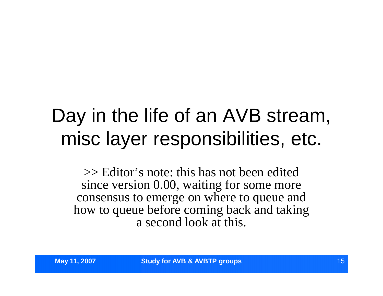## Day in the life of an AVB stream, misc layer responsibilities, etc.

>> Editor's note: this has not been edited since version 0.00, waiting for some more consensus to emerge on where to queue and how to queue before coming back and taking a second look at this.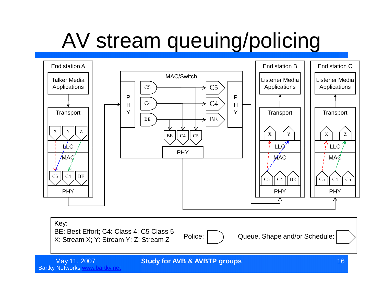# AV stream queuing/policing



Bartky Networks www.bartky.net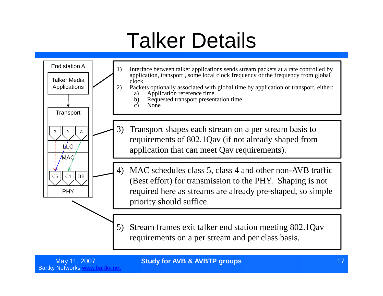## Talker Details



May 11, 2007 **Study for AVB & AVBTP groups** 17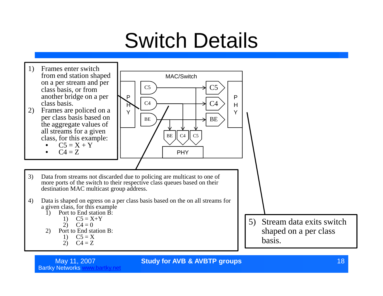## Switch Details



Bartky Networks www.bartky.net

May 11, 2007 **Study for AVB & AVBTP groups** 18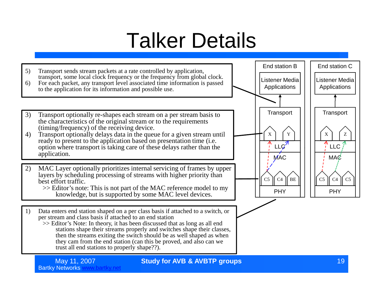## Talker Details



Bartky Networks www.bartky.net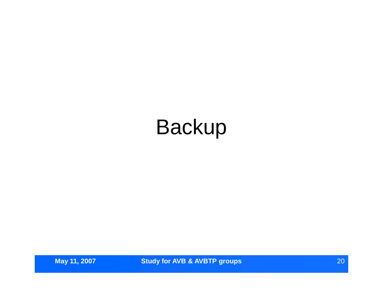## Backup

**May 11, 2007 Study for AVB & AVBTP groups CONS 20**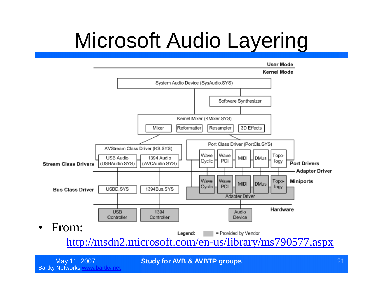# Microsoft Audio Layering



May 11, 2007 **Study for AVB & AVBTP groups** 21

Bartky Networks www.bartky.net